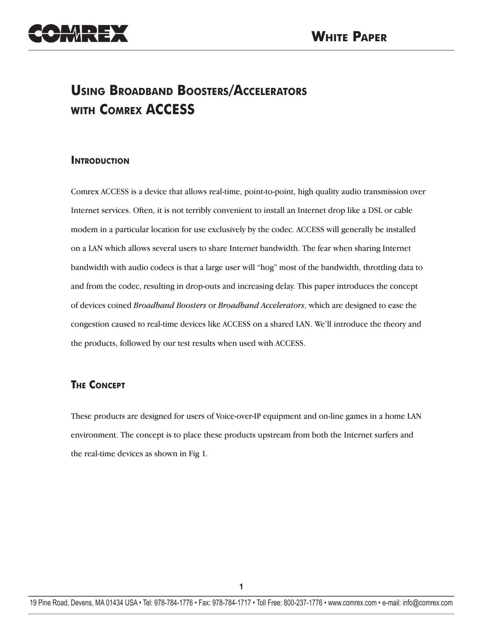

# **Using Broadband Boosters/Accelerators with Comrex ACCESS**

# **Introduction**

Comrex ACCESS is a device that allows real-time, point-to-point, high quality audio transmission over Internet services. Often, it is not terribly convenient to install an Internet drop like a DSL or cable modem in a particular location for use exclusively by the codec. ACCESS will generally be installed on a LAN which allows several users to share Internet bandwidth. The fear when sharing Internet bandwidth with audio codecs is that a large user will "hog" most of the bandwidth, throttling data to and from the codec, resulting in drop-outs and increasing delay. This paper introduces the concept of devices coined *Broadband Boosters* or *Broadband Accelerators*, which are designed to ease the congestion caused to real-time devices like ACCESS on a shared LAN. We'll introduce the theory and the products, followed by our test results when used with ACCESS.

# **The Concept**

These products are designed for users of Voice-over-IP equipment and on-line games in a home LAN environment. The concept is to place these products upstream from both the Internet surfers and the real-time devices as shown in Fig 1.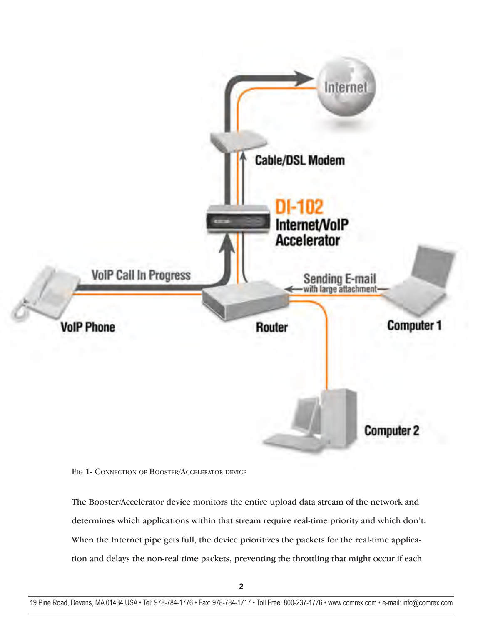



The Booster/Accelerator device monitors the entire upload data stream of the network and determines which applications within that stream require real-time priority and which don't. When the Internet pipe gets full, the device prioritizes the packets for the real-time application and delays the non-real time packets, preventing the throttling that might occur if each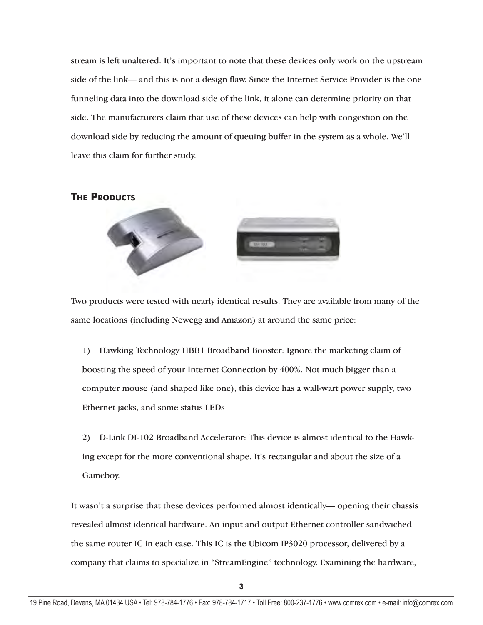stream is left unaltered. It's important to note that these devices only work on the upstream side of the link— and this is not a design flaw. Since the Internet Service Provider is the one funneling data into the download side of the link, it alone can determine priority on that side. The manufacturers claim that use of these devices can help with congestion on the download side by reducing the amount of queuing buffer in the system as a whole. We'll leave this claim for further study.

# **THE PRODUCTS**



Two products were tested with nearly identical results. They are available from many of the same locations (including Newegg and Amazon) at around the same price:

1) Hawking Technology HBB1 Broadband Booster: Ignore the marketing claim of boosting the speed of your Internet Connection by 400%. Not much bigger than a computer mouse (and shaped like one), this device has a wall-wart power supply, two Ethernet jacks, and some status LEDs

2) D-Link DI-102 Broadband Accelerator: This device is almost identical to the Hawking except for the more conventional shape. It's rectangular and about the size of a Gameboy.

It wasn't a surprise that these devices performed almost identically— opening their chassis revealed almost identical hardware. An input and output Ethernet controller sandwiched the same router IC in each case. This IC is the Ubicom IP3020 processor, delivered by a company that claims to specialize in "StreamEngine" technology. Examining the hardware,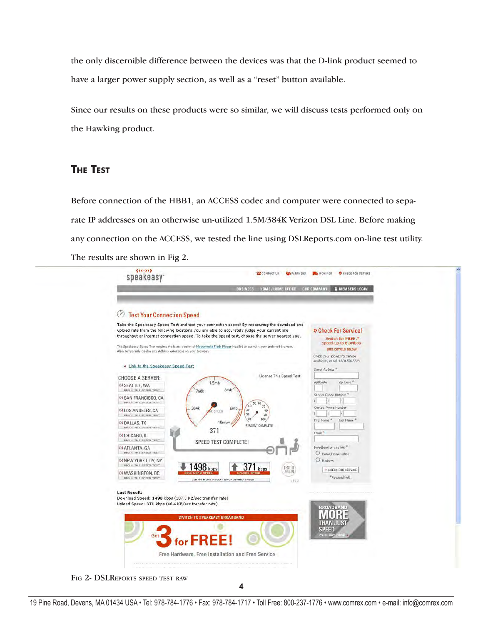the only discernible difference between the devices was that the D-link product seemed to have a larger power supply section, as well as a "reset" button available.

Since our results on these products were so similar, we will discuss tests performed only on the Hawking product.

# **The Test**

Before connection of the HBB1, an ACCESS codec and computer were connected to separate IP addresses on an otherwise un-utilized 1.5M/384K Verizon DSL Line. Before making any connection on the ACCESS, we tested the line using DSLReports.com on-line test utility. The results are shown in Fig 2.



FIG 2- DSLREPORTS SPEED TEST RAW

4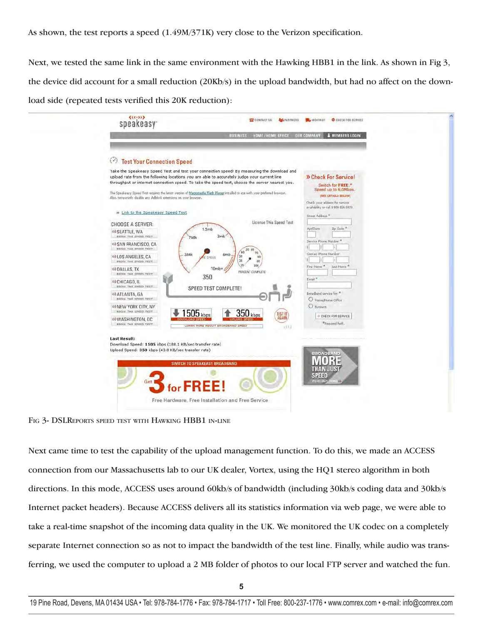As shown, the test reports a speed (1.49M/371K) very close to the Verizon specification.

Next, we tested the same link in the same environment with the Hawking HBB1 in the link. As shown in Fig 3, the device did account for a small reduction (20Kb/s) in the upload bandwidth, but had no affect on the download side (repeated tests verified this 20K reduction):

| <b>Test Your Connection Speed</b><br>Take the Speakeasy Speed Test and test your connection speed! By measuring the download and<br>upload rate from the following locations you are able to accurately judge your current line<br>throughput or internet connection speed. To take the speed test, choose the server nearest you.<br>The Speakeasy Speed Test requires the latest version of Macromedia Flash Player installed to use with your preferred browser.<br>Also, temporarily disable any Adblock extensions on your browser. | » Check For Service!<br>Switch for FREE."<br>Speed up to 6.0Mbps.<br>(SEE DETAILS BELOW) |
|------------------------------------------------------------------------------------------------------------------------------------------------------------------------------------------------------------------------------------------------------------------------------------------------------------------------------------------------------------------------------------------------------------------------------------------------------------------------------------------------------------------------------------------|------------------------------------------------------------------------------------------|
|                                                                                                                                                                                                                                                                                                                                                                                                                                                                                                                                          |                                                                                          |
| » Link to the Speakeasy Speed Test                                                                                                                                                                                                                                                                                                                                                                                                                                                                                                       | Check your address for service<br>availability or call 1-800-556-5829.                   |
| License This Speed Test<br><b>CHOOSE A SERVER:</b>                                                                                                                                                                                                                                                                                                                                                                                                                                                                                       | Street Address <sup>®</sup>                                                              |
| 1.5mb<br>®> SEATTLE, WA<br>3mb<br>BEGIN THE SPEED TEST<br>768k                                                                                                                                                                                                                                                                                                                                                                                                                                                                           | Zip Code <sup>*</sup><br>Apt/Suite                                                       |
| »> SAN FRANCISCO, CA<br>BEGIN THE SPEED TEST<br>50 60                                                                                                                                                                                                                                                                                                                                                                                                                                                                                    | Service Phone Number                                                                     |
| 40<br>70<br>384k<br>6 <sub>mb</sub><br>30<br>»>LOS ANGELES, CA<br>30<br><b>SPEED</b><br>20<br>DEGIN THE SPEED TEST<br>90                                                                                                                                                                                                                                                                                                                                                                                                                 | Contact Phone Number                                                                     |
| 10<br>100<br>10 <sub>mb</sub><br>»> DALLAS, TX<br>PERCENT COMPLETE<br>BEGIN THE SPEED TEST<br>350                                                                                                                                                                                                                                                                                                                                                                                                                                        | First Name <sup>®</sup><br>Last Name <sup>®</sup>                                        |
| »> CHICAGO, IL<br><b>DEGIN THE SPEED TEST</b><br>SPEED TEST COMPLETE!                                                                                                                                                                                                                                                                                                                                                                                                                                                                    | Email **                                                                                 |
| »> ATLANTA, GA<br>BEGIN THE SPEED TEST                                                                                                                                                                                                                                                                                                                                                                                                                                                                                                   | Broadband service for: *<br>O Home/Home Office                                           |
| »> NEW YORK CITY, NY<br>BEGIN THE SPEED TEST<br>$1505$ <sub>kbps</sub><br>$350$ kbps                                                                                                                                                                                                                                                                                                                                                                                                                                                     | O Business                                                                               |
| TEST IT<br>»> WASHINGTON, DC<br>BEGIN THE SPEED TEST<br>LEARN HORE ABOUT BROADBAND SPEED<br>11.12                                                                                                                                                                                                                                                                                                                                                                                                                                        | + CHECK FOR SERVICE<br>*Required field.                                                  |

FIG 3- DSLREPORTS SPEED TEST WITH HAWKING HBB1 IN-LINE

Next came time to test the capability of the upload management function. To do this, we made an ACCESS connection from our Massachusetts lab to our UK dealer, Vortex, using the HQ1 stereo algorithm in both directions. In this mode, ACCESS uses around 60kb/s of bandwidth (including 30kb/s coding data and 30kb/s Internet packet headers). Because ACCESS delivers all its statistics information via web page, we were able to take a real-time snapshot of the incoming data quality in the UK. We monitored the UK codec on a completely separate Internet connection so as not to impact the bandwidth of the test line. Finally, while audio was transferring, we used the computer to upload a 2 MB folder of photos to our local FTP server and watched the fun.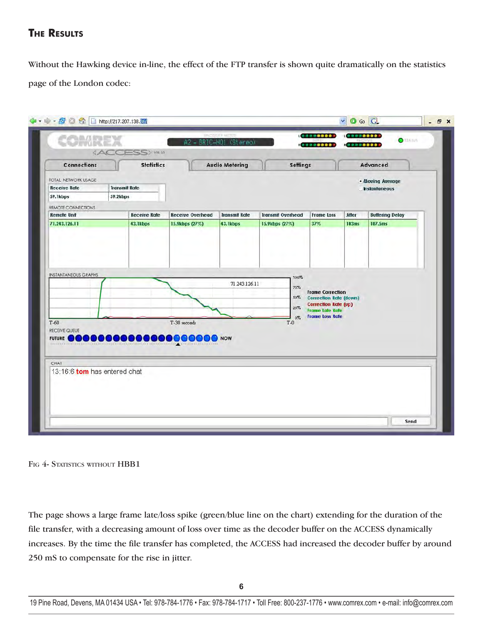# **The Results**

Without the Hawking device in-line, the effect of the FTP transfer is shown quite dramatically on the statistics page of the London codec:

| Connections<br>TOTAL NETWORK USAGE       | <b>Statistics</b>            |                                          | <b>Audio Metering</b> | Settings                 |                                                                                                                                             |              | Advanced               |
|------------------------------------------|------------------------------|------------------------------------------|-----------------------|--------------------------|---------------------------------------------------------------------------------------------------------------------------------------------|--------------|------------------------|
| <b>Receive Rate</b>                      | <b>Transmit Rate</b>         | . Moving Average<br><b>Instantaneous</b> |                       |                          |                                                                                                                                             |              |                        |
| 59.1kbps                                 | 59.2kbps                     |                                          |                       |                          |                                                                                                                                             |              |                        |
| REMOTE CONNECTIONS                       |                              |                                          |                       |                          |                                                                                                                                             |              |                        |
| <b>Remote Unit</b>                       | <b>Receive Rate</b>          | <b>Receive Overhead</b>                  | <b>Transmit Rate</b>  | <b>Transmit Overhead</b> | <b>Frame Loss</b>                                                                                                                           | Jitter       | <b>Buffering Delay</b> |
| 71.243.126.11                            | 43.1kbps                     | 15.9kbps (27%)                           | 43.1kbps              | 15.9kbps (27%)           | 37%                                                                                                                                         | <b>103ms</b> | 107.5ms                |
|                                          |                              |                                          |                       | $50\%$<br>25%<br>$0\%$   | <b>Frame Correction</b><br><b>Correction Rate (down)</b><br><b>Correction Rate (up)</b><br><b>Frame Late Rate</b><br><b>Frame Loss Rate</b> |              |                        |
| $T-60$<br>RECEIVE QUEUE<br><b>FUTURE</b> | <b>COOPOOPOOP</b>            | T-30 seconds                             | <b>NOW</b>            | $T-0$                    |                                                                                                                                             |              |                        |
| CHAT                                     |                              |                                          |                       |                          |                                                                                                                                             |              |                        |
|                                          | 13:16:6 tom has entered chat |                                          |                       |                          |                                                                                                                                             |              |                        |

#### FIG 4- STATISTICS WITHOUT HBB1

The page shows a large frame late/loss spike (green/blue line on the chart) extending for the duration of the file transfer, with a decreasing amount of loss over time as the decoder buffer on the ACCESS dynamically increases. By the time the file transfer has completed, the ACCESS had increased the decoder buffer by around 250 mS to compensate for the rise in jitter.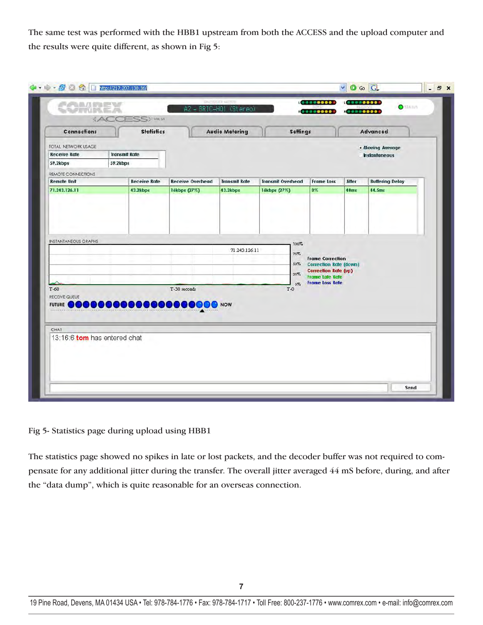The same test was performed with the HBB1 upstream from both the ACCESS and the upload computer and the results were quite different, as shown in Fig 5:

| Connections<br>TOTAL NETWORK USAGE  | <b>Statistics</b>               |                                          | <b>Audio Metering</b>            | <b>Settings</b>                          |                                                                                         |                | Advanced                         |
|-------------------------------------|---------------------------------|------------------------------------------|----------------------------------|------------------------------------------|-----------------------------------------------------------------------------------------|----------------|----------------------------------|
| <b>Receive Rate</b>                 | <b>Transmit Rate</b>            | . Moving Average<br><b>Instantaneous</b> |                                  |                                          |                                                                                         |                |                                  |
| 59.2kbps                            | 59.2kbps                        |                                          |                                  |                                          |                                                                                         |                |                                  |
| REMOTE CONNECTIONS                  |                                 |                                          |                                  |                                          |                                                                                         |                |                                  |
| <b>Remote Unit</b><br>71.243.126.11 | <b>Receive Rate</b><br>43.2kbps | <b>Receive Overhead</b><br>16kbps (27%)  | <b>Transmit Rate</b><br>43.2kbps | <b>Transmit Overhead</b><br>16kbps (27%) | <b>Frame Loss</b><br>$0\%$                                                              | Jitter<br>40ms | <b>Buffering Delay</b><br>44.5ms |
| <b>INSTANTANEOUS GRAPHS</b>         |                                 |                                          | 71.243.126.11                    | 100%<br>75%<br>$50\%$<br>25%             | <b>Frame Correction</b><br><b>Correction Rate (down)</b><br><b>Correction Rate (up)</b> |                |                                  |
|                                     |                                 |                                          |                                  | $0\%$                                    | <b>Frame Late Rate</b><br><b>Frame Loss Rate</b>                                        |                |                                  |
| $T-60$<br>RECEIVE QUEUE             |                                 | T-30 seconds                             |                                  | $T-0$                                    |                                                                                         |                |                                  |
| CHAT                                |                                 |                                          |                                  |                                          |                                                                                         |                |                                  |
| 13:16:6 tom has entered chat        |                                 |                                          |                                  |                                          |                                                                                         |                |                                  |

### Fig 5- Statistics page during upload using HBB1

The statistics page showed no spikes in late or lost packets, and the decoder buffer was not required to compensate for any additional jitter during the transfer. The overall jitter averaged 44 mS before, during, and after the "data dump", which is quite reasonable for an overseas connection.